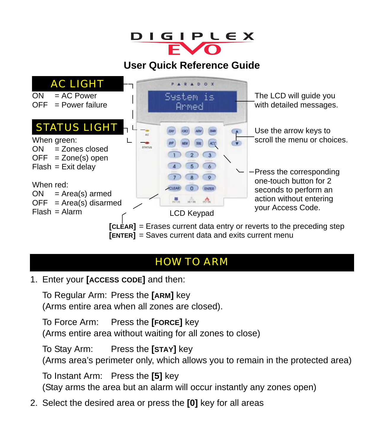

#### **User Quick Reference Guide**



### HOW TO ARM

1. Enter your **[ACCESS CODE]** and then:

To Regular Arm: Press the **[ARM]** key (Arms entire area when all zones are closed).

To Force Arm: Press the **[FORCE]** key (Arms entire area without waiting for all zones to close)

To Stay Arm: Press the **[STAY]** key (Arms area's perimeter only, which allows you to remain in the protected area)

To Instant Arm: Press the **[5]** key (Stay arms the area but an alarm will occur instantly any zones open)

2. Select the desired area or press the **[0]** key for all areas